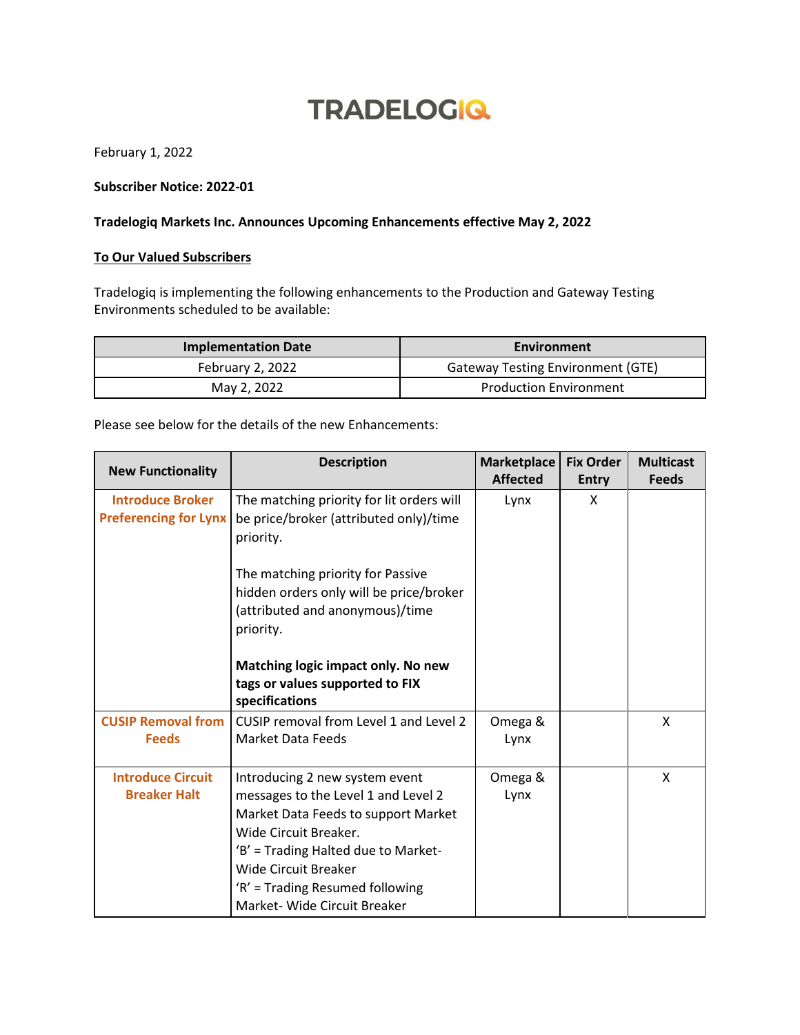## **TRADELOGIQ**

February 1, 2022

## **Subscriber Notice: 2022-01**

## **Tradelogiq Markets Inc. Announces Upcoming Enhancements effective May 2, 2022**

## **To Our Valued Subscribers**

Tradelogiq is implementing the following enhancements to the Production and Gateway Testing Environments scheduled to be available:

| <b>Implementation Date</b> | Environment                              |  |  |
|----------------------------|------------------------------------------|--|--|
| February 2, 2022           | <b>Gateway Testing Environment (GTE)</b> |  |  |
| May 2, 2022                | <b>Production Environment</b>            |  |  |

Please see below for the details of the new Enhancements:

| <b>New Functionality</b>                                | <b>Description</b>                                                                                                                                                                                                                                                             | <b>Marketplace</b><br><b>Affected</b> | <b>Fix Order</b><br><b>Entry</b> | <b>Multicast</b><br><b>Feeds</b> |
|---------------------------------------------------------|--------------------------------------------------------------------------------------------------------------------------------------------------------------------------------------------------------------------------------------------------------------------------------|---------------------------------------|----------------------------------|----------------------------------|
| <b>Introduce Broker</b><br><b>Preferencing for Lynx</b> | The matching priority for lit orders will<br>be price/broker (attributed only)/time<br>priority.                                                                                                                                                                               | Lynx                                  | X                                |                                  |
|                                                         | The matching priority for Passive<br>hidden orders only will be price/broker<br>(attributed and anonymous)/time<br>priority.                                                                                                                                                   |                                       |                                  |                                  |
|                                                         | Matching logic impact only. No new<br>tags or values supported to FIX<br>specifications                                                                                                                                                                                        |                                       |                                  |                                  |
| <b>CUSIP Removal from</b><br><b>Feeds</b>               | CUSIP removal from Level 1 and Level 2<br><b>Market Data Feeds</b>                                                                                                                                                                                                             | Omega &<br>Lynx                       |                                  | X                                |
| <b>Introduce Circuit</b><br><b>Breaker Halt</b>         | Introducing 2 new system event<br>messages to the Level 1 and Level 2<br>Market Data Feeds to support Market<br>Wide Circuit Breaker.<br>'B' = Trading Halted due to Market-<br><b>Wide Circuit Breaker</b><br>'R' = Trading Resumed following<br>Market- Wide Circuit Breaker | Omega &<br>Lynx                       |                                  | X                                |